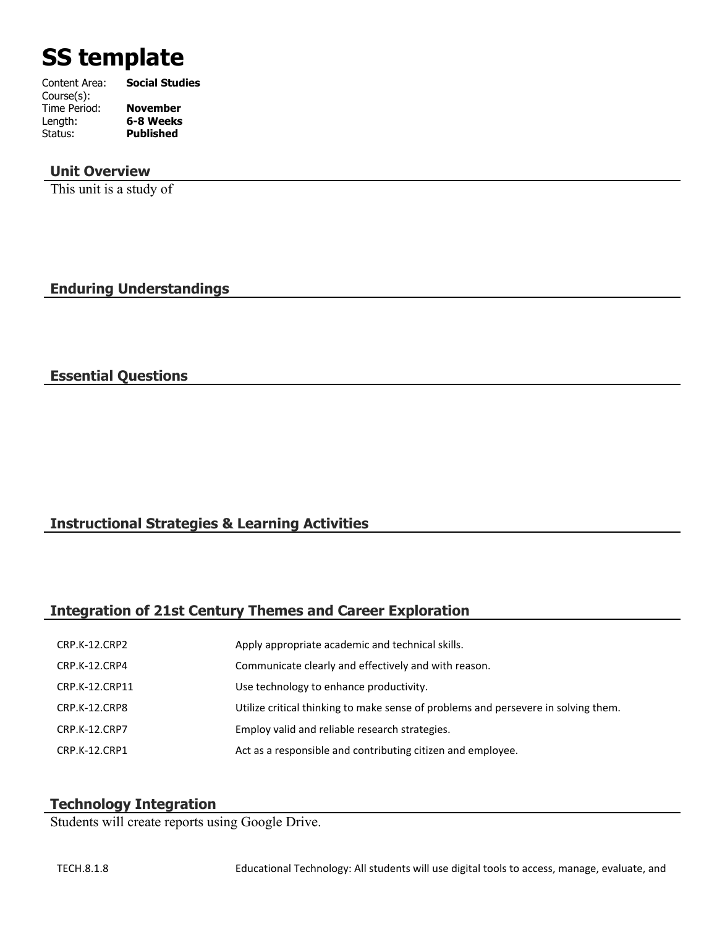# **SS template**

| Content Area: | <b>Social Studies</b> |
|---------------|-----------------------|
| Course(s):    |                       |
| Time Period:  | <b>November</b>       |
| Length:       | 6-8 Weeks             |
| Status:       | <b>Published</b>      |
|               |                       |

#### **Unit Overview**

This unit is a study of

**Enduring Understandings**

## **Essential Questions**

## **Instructional Strategies & Learning Activities**

## **Integration of 21st Century Themes and Career Exploration**

| <b>CRP.K-12.CRP2</b> | Apply appropriate academic and technical skills.                                   |
|----------------------|------------------------------------------------------------------------------------|
| CRP.K-12.CRP4        | Communicate clearly and effectively and with reason.                               |
| CRP.K-12.CRP11       | Use technology to enhance productivity.                                            |
| CRP.K-12.CRP8        | Utilize critical thinking to make sense of problems and persevere in solving them. |
| <b>CRP.K-12.CRP7</b> | Employ valid and reliable research strategies.                                     |
| CRP.K-12.CRP1        | Act as a responsible and contributing citizen and employee.                        |

## **Technology Integration**

Students will create reports using Google Drive.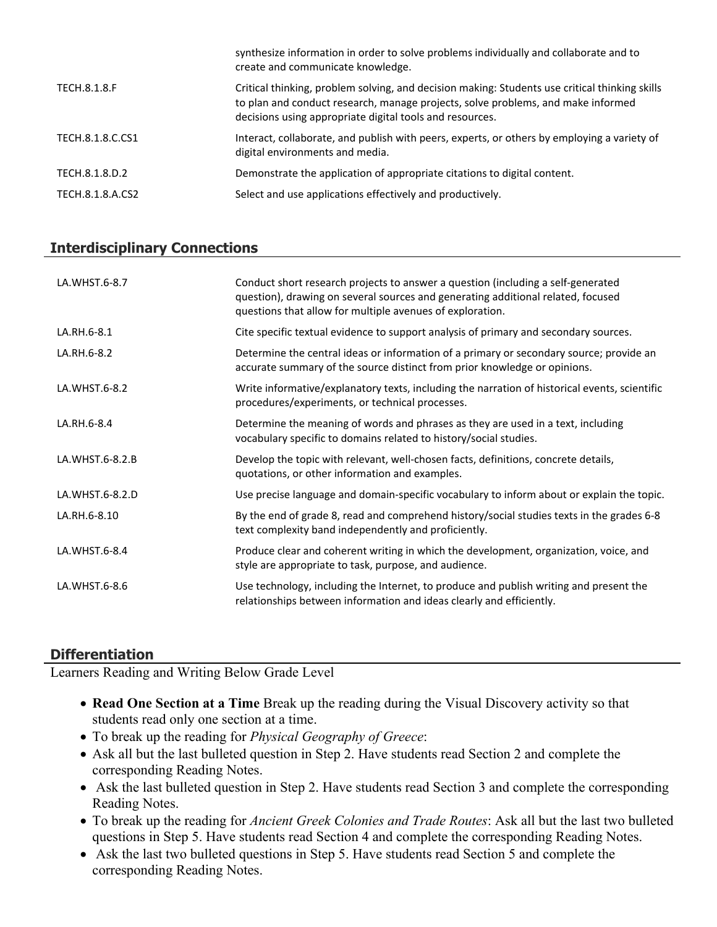|                     | synthesize information in order to solve problems individually and collaborate and to<br>create and communicate knowledge.                                                                                                                     |
|---------------------|------------------------------------------------------------------------------------------------------------------------------------------------------------------------------------------------------------------------------------------------|
| <b>TECH.8.1.8.F</b> | Critical thinking, problem solving, and decision making: Students use critical thinking skills<br>to plan and conduct research, manage projects, solve problems, and make informed<br>decisions using appropriate digital tools and resources. |
| TECH.8.1.8.C.CS1    | Interact, collaborate, and publish with peers, experts, or others by employing a variety of<br>digital environments and media.                                                                                                                 |
| TECH.8.1.8.D.2      | Demonstrate the application of appropriate citations to digital content.                                                                                                                                                                       |
| TECH.8.1.8.A.CS2    | Select and use applications effectively and productively.                                                                                                                                                                                      |
|                     |                                                                                                                                                                                                                                                |

# **Interdisciplinary Connections**

| LA.WHST.6-8.7   | Conduct short research projects to answer a question (including a self-generated<br>question), drawing on several sources and generating additional related, focused<br>questions that allow for multiple avenues of exploration. |
|-----------------|-----------------------------------------------------------------------------------------------------------------------------------------------------------------------------------------------------------------------------------|
| LA.RH.6-8.1     | Cite specific textual evidence to support analysis of primary and secondary sources.                                                                                                                                              |
| LA.RH.6-8.2     | Determine the central ideas or information of a primary or secondary source; provide an<br>accurate summary of the source distinct from prior knowledge or opinions.                                                              |
| LA.WHST.6-8.2   | Write informative/explanatory texts, including the narration of historical events, scientific<br>procedures/experiments, or technical processes.                                                                                  |
| LA.RH.6-8.4     | Determine the meaning of words and phrases as they are used in a text, including<br>vocabulary specific to domains related to history/social studies.                                                                             |
| LA.WHST.6-8.2.B | Develop the topic with relevant, well-chosen facts, definitions, concrete details,<br>quotations, or other information and examples.                                                                                              |
| LA.WHST.6-8.2.D | Use precise language and domain-specific vocabulary to inform about or explain the topic.                                                                                                                                         |
| LA.RH.6-8.10    | By the end of grade 8, read and comprehend history/social studies texts in the grades 6-8<br>text complexity band independently and proficiently.                                                                                 |
| LA.WHST.6-8.4   | Produce clear and coherent writing in which the development, organization, voice, and<br>style are appropriate to task, purpose, and audience.                                                                                    |
| LA.WHST.6-8.6   | Use technology, including the Internet, to produce and publish writing and present the<br>relationships between information and ideas clearly and efficiently.                                                                    |

## **Differentiation**

Learners Reading and Writing Below Grade Level

- **Read One Section at a Time** Break up the reading during the Visual Discovery activity so that students read only one section at a time.
- To break up the reading for *Physical Geography of Greece*:
- Ask all but the last bulleted question in Step 2. Have students read Section 2 and complete the corresponding Reading Notes.
- Ask the last bulleted question in Step 2. Have students read Section 3 and complete the corresponding Reading Notes.
- To break up the reading for *Ancient Greek Colonies and Trade Routes*: Ask all but the last two bulleted questions in Step 5. Have students read Section 4 and complete the corresponding Reading Notes.
- Ask the last two bulleted questions in Step 5. Have students read Section 5 and complete the corresponding Reading Notes.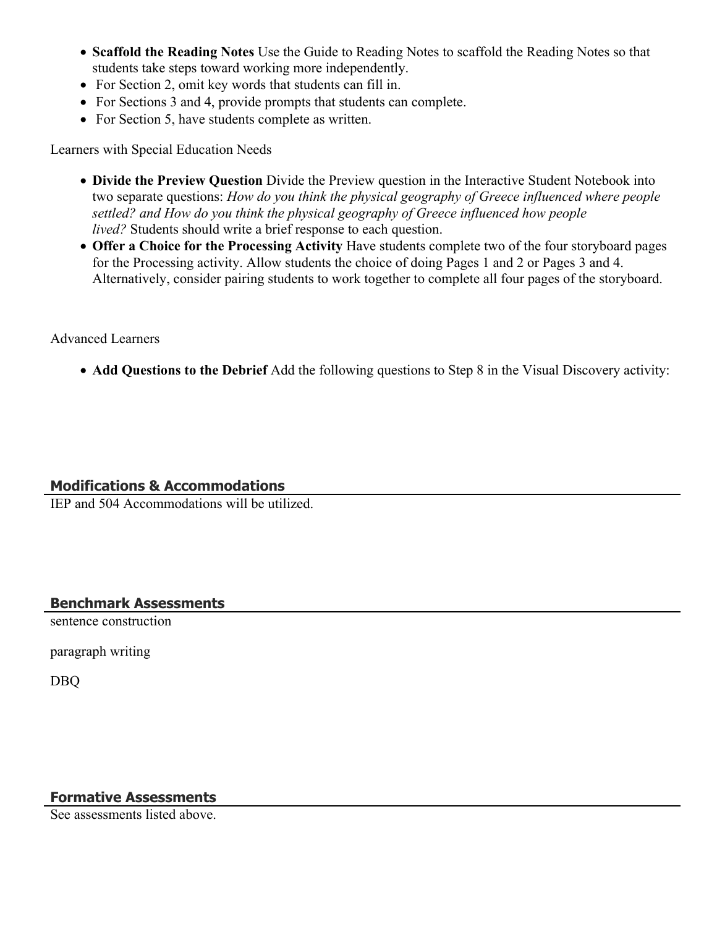- **Scaffold the Reading Notes** Use the Guide to Reading Notes to scaffold the Reading Notes so that students take steps toward working more independently.
- For Section 2, omit key words that students can fill in.
- For Sections 3 and 4, provide prompts that students can complete.
- For Section 5, have students complete as written.

Learners with Special Education Needs

- **Divide the Preview Question** Divide the Preview question in the Interactive Student Notebook into two separate questions: *How do you think the physical geography of Greece influenced where people settled? and How do you think the physical geography of Greece influenced how people lived?* Students should write a brief response to each question.
- **Offer a Choice for the Processing Activity** Have students complete two of the four storyboard pages for the Processing activity. Allow students the choice of doing Pages 1 and 2 or Pages 3 and 4. Alternatively, consider pairing students to work together to complete all four pages of the storyboard.

## Advanced Learners

**Add Questions to the Debrief** Add the following questions to Step 8 in the Visual Discovery activity:

## **Modifications & Accommodations**

IEP and 504 Accommodations will be utilized.

## **Benchmark Assessments**

sentence construction

paragraph writing

DBQ

## **Formative Assessments**

See assessments listed above.